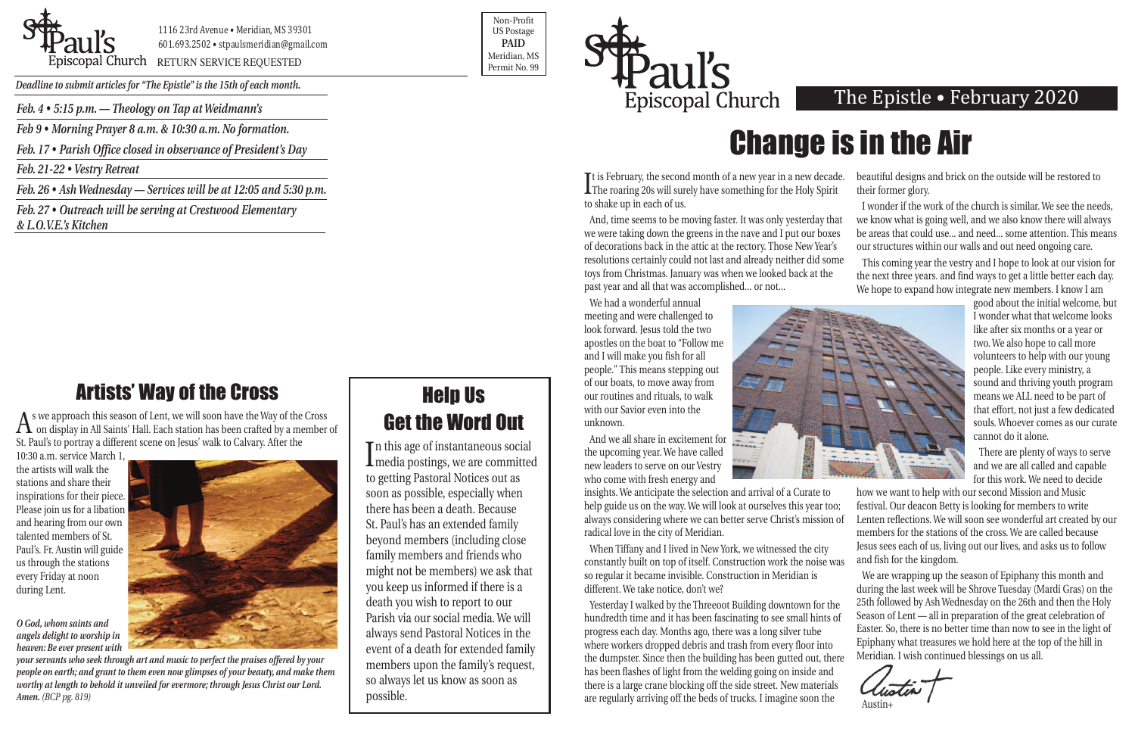

1116 23rd Avenue • Meridian, MS 39301 601.693.2502 • stpaulsmeridian@gmail.com

Priscopal Church RETURN SERVICE REQUESTED Research Assessment Research of Meridian, MS

Non-Profit US Postage **PAID** Meridian, MS



*Deadline to submit articles for "The Epistle" is the 15th of each month.* 

 $A$  s we approach this season of Lent, we will soon have the Way of the Cross on display in All Saints' Hall. Each station has been crafted by a member of St. Paul's to portray a different scene on Jesus' walk to Calvary. After the

# Change is in the Air

## Artists' Way of the Cross

And, time seems to be moving faster. It was only yesterday that we were taking down the greens in the nave and I put our boxes of decorations back in the attic at the rectory. Those New Year's resolutions certainly could not last and already neither did some toys from Christmas. January was when we looked back at the past year and all that was accomplished... or not... I wonder if the work of the church is similar. We see the needs, we know what is going well, and we also know there will always be areas that could use... and need... some attention. This means our structures within our walls and out need ongoing care. This coming year the vestry and I hope to look at our vision for the next three years. and find ways to get a little better each day. We hope to expand how integrate new members. I know I am

10:30 a.m. service March 1, the artists will walk the stations and share their inspirations for their piece. Please join us for a libation and hearing from our own talented members of St. Paul's. Fr. Austin will guide us through the stations every Friday at noon during Lent.

*O God, whom saints and angels delight to worship in heaven: Be ever present with*



*your servants who seek through art and music to perfect the praises offered by your people on earth; and grant to them even now glimpses of your beauty, and make them worthy at length to behold it unveiled for evermore; through Jesus Christ our Lord. Amen. (BCP pg. 819)*

It is repruary, the second month or a new year in a new decade.<br>The roaring 20s will surely have something for the Holy Spirit **The is February, the second month of a new year in a new decade.** to shake up in each of us. beautiful designs and brick on the outside will be restored to their former glory.

We had a wonderful annual meeting and were challenged to look forward. Jesus told the two apostles on the boat to "Follow me and I will make you fish for all people." This means stepping out of our boats, to move away from our routines and rituals, to walk with our Savior even into the unknown.

And we all share in excitement for the upcoming year. We have called new leaders to serve on our Vestry who come with fresh energy and

constantly built on top of itself. Construction work the noise was so regular it became invisible. Construction in Meridian is different. We take notice, don't we?

In this age of instantaneous social<br>media postings, we are committed n this age of instantaneous social to getting Pastoral Notices out as soon as possible, especially when there has been a death. Because St. Paul's has an extended family beyond members (including close family members and friends who might not be members) we ask that you keep us informed if there is a death you wish to report to our Parish via our social media. We will always send Pastoral Notices in the event of a death for extended family members upon the family's request, so always let us know as soon as possible.

Yesterday I walked by the Threeoot Building downtown for the hundredth time and it has been fascinating to see small hints of progress each day. Months ago, there was a long silver tube where workers dropped debris and trash from every floor into the dumpster. Since then the building has been gutted out, there has been flashes of light from the welding going on inside and there is a large crane blocking off the side street. New materials are regularly arriving off the beds of trucks. I imagine soon the

#### The Epistle . February 2020



insights. We anticipate the selection and arrival of a Curate to help guide us on the way. We will look at ourselves this year too; always considering where we can better serve Christ's mission of radical love in the city of Meridian. When Tiffany and I lived in New York, we witnessed the city how we want to help with our second Mission and Music festival. Our deacon Betty is looking for members to write Lenten reflections. We will soon see wonderful art created by our members for the stations of the cross. We are called because Jesus sees each of us, living out our lives, and asks us to follow and fish for the kingdom.

good about the initial welcome, but I wonder what that welcome looks like after six months or a year or two. We also hope to call more volunteers to help with our young people. Like every ministry, a sound and thriving youth program means we ALL need to be part of that effort, not just a few dedicated souls. Whoever comes as our curate cannot do it alone.

There are plenty of ways to serve and we are all called and capable for this work. We need to decide

We are wrapping up the season of Epiphany this month and during the last week will be Shrove Tuesday (Mardi Gras) on the 25th followed by Ash Wednesday on the 26th and then the Holy Season of Lent — all in preparation of the great celebration of Easter. So, there is no better time than now to see in the light of Epiphany what treasures we hold here at the top of the hill in Meridian. I wish continued blessings on us all.

Austin+

## Help Us Get the Word Out

*Feb. 4 • 5:15 p.m. — Theology on Tap at Weidmann's* 

*Feb 9 • Morning Prayer 8 a.m. & 10:30 a.m. No formation.*

*Feb. 17 • Parish Office closed in observance of President's Day*

*Feb. 21-22 • Vestry Retreat*

*Feb. 26 • Ash Wednesday — Services will be at 12:05 and 5:30 p.m.*

*Feb. 27 • Outreach will be serving at Crestwood Elementary & L.O.V.E.'s Kitchen*